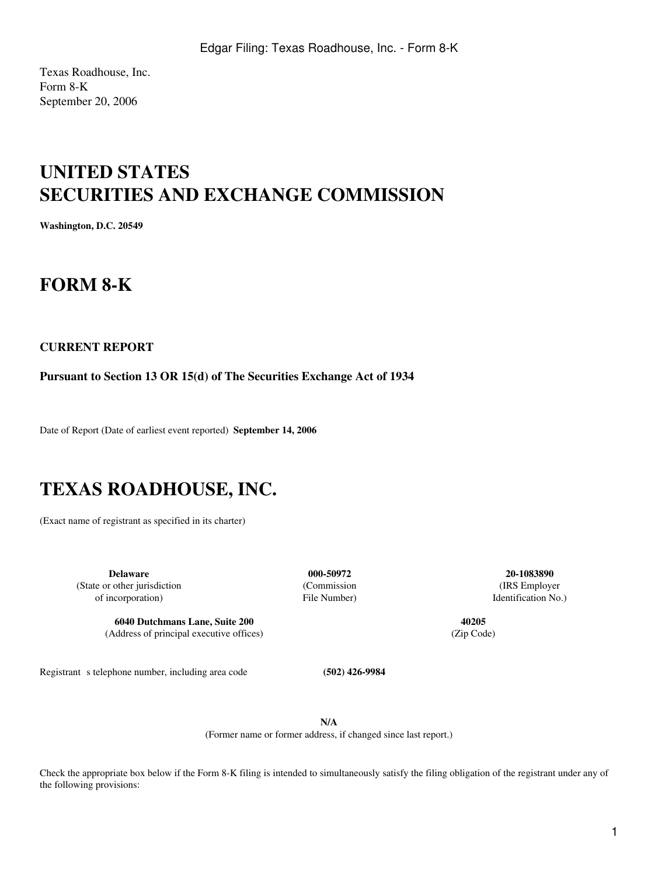Texas Roadhouse, Inc. Form 8-K September 20, 2006

# **UNITED STATES SECURITIES AND EXCHANGE COMMISSION**

**Washington, D.C. 20549**

## **FORM 8-K**

### **CURRENT REPORT**

**Pursuant to Section 13 OR 15(d) of The Securities Exchange Act of 1934**

Date of Report (Date of earliest event reported) **September 14, 2006**

# **TEXAS ROADHOUSE, INC.**

(Exact name of registrant as specified in its charter)

**Delaware 000-50972 20-1083890** (State or other jurisdiction (Commission (IRS Employer of incorporation) File Number) Identification No.)

**6040 Dutchmans Lane, Suite 200 40205** (Address of principal executive offices) (Zip Code)

Registrant s telephone number, including area code **(502) 426-9984** 

**N/A** (Former name or former address, if changed since last report.)

Check the appropriate box below if the Form 8-K filing is intended to simultaneously satisfy the filing obligation of the registrant under any of the following provisions: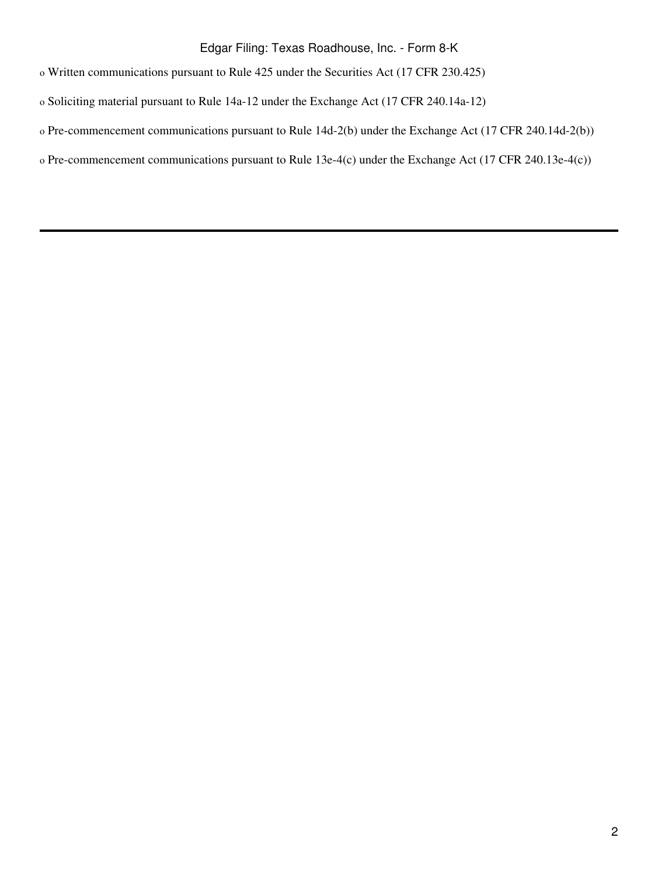### Edgar Filing: Texas Roadhouse, Inc. - Form 8-K

o Written communications pursuant to Rule 425 under the Securities Act (17 CFR 230.425)

o Soliciting material pursuant to Rule 14a-12 under the Exchange Act (17 CFR 240.14a-12)

- o Pre-commencement communications pursuant to Rule 14d-2(b) under the Exchange Act (17 CFR 240.14d-2(b))
- o Pre-commencement communications pursuant to Rule 13e-4(c) under the Exchange Act (17 CFR 240.13e-4(c))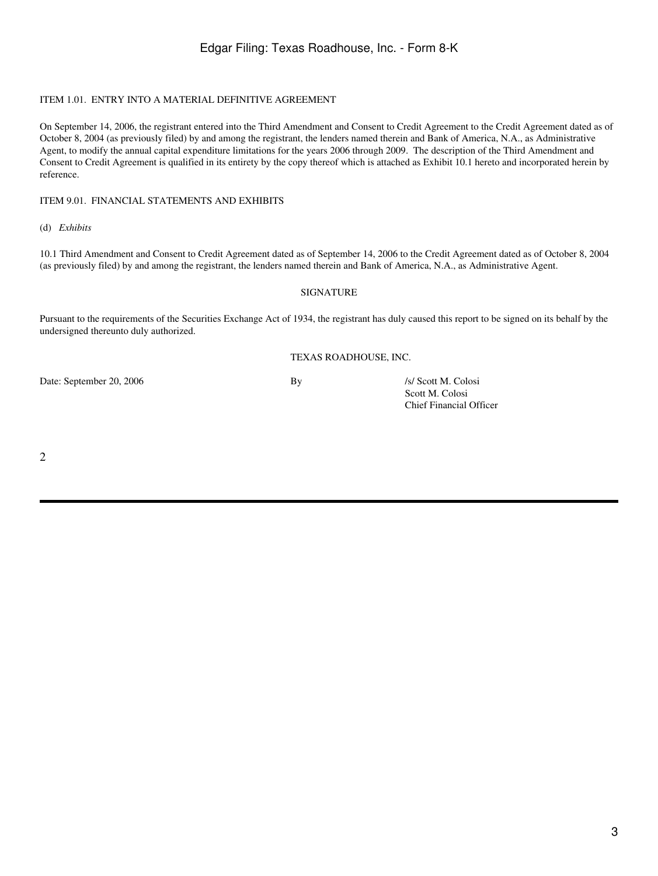#### ITEM 1.01. ENTRY INTO A MATERIAL DEFINITIVE AGREEMENT

On September 14, 2006, the registrant entered into the Third Amendment and Consent to Credit Agreement to the Credit Agreement dated as of October 8, 2004 (as previously filed) by and among the registrant, the lenders named therein and Bank of America, N.A., as Administrative Agent, to modify the annual capital expenditure limitations for the years 2006 through 2009. The description of the Third Amendment and Consent to Credit Agreement is qualified in its entirety by the copy thereof which is attached as Exhibit 10.1 hereto and incorporated herein by reference.

#### ITEM 9.01. FINANCIAL STATEMENTS AND EXHIBITS

(d) *Exhibits*

10.1 Third Amendment and Consent to Credit Agreement dated as of September 14, 2006 to the Credit Agreement dated as of October 8, 2004 (as previously filed) by and among the registrant, the lenders named therein and Bank of America, N.A., as Administrative Agent.

#### SIGNATURE

Pursuant to the requirements of the Securities Exchange Act of 1934, the registrant has duly caused this report to be signed on its behalf by the undersigned thereunto duly authorized.

#### TEXAS ROADHOUSE, INC.

Date: September 20, 2006 By *Isl* Scott M. Colosi

Scott M. Colosi Chief Financial Officer